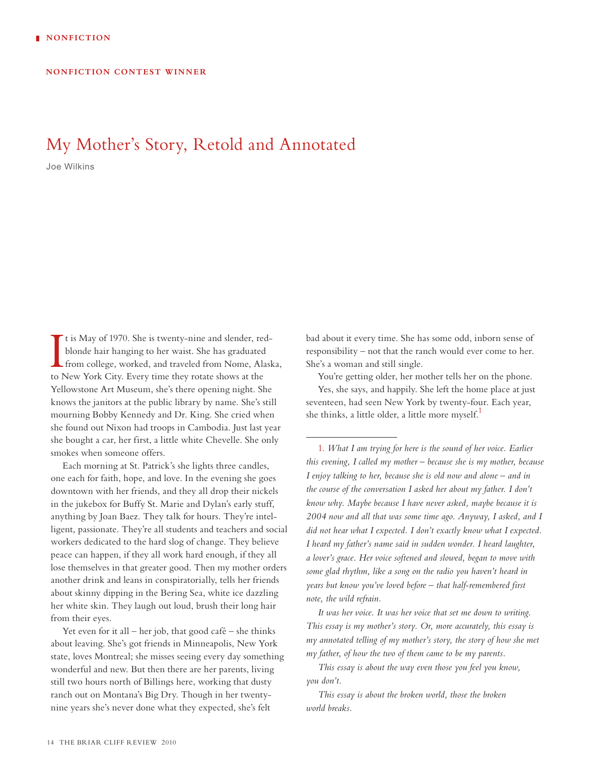**NONFICTION CONTEST WINNER**

## My Mother's Story, Retold and Annotated

Joe Wilkins

I t is May of 1970. She is twenty-nine and slender, redblonde hair hanging to her waist. She has graduated from college, worked, and traveled from Nome, Alaska, to New York City. Every time they rotate shows at the Yellowstone Art Museum, she's there opening night. She knows the janitors at the public library by name. She's still mourning Bobby Kennedy and Dr. King. She cried when she found out Nixon had troops in Cambodia. Just last year she bought a car, her first, a little white Chevelle. She only smokes when someone offers.

Each morning at St. Patrick's she lights three candles, one each for faith, hope, and love. In the evening she goes downtown with her friends, and they all drop their nickels in the jukebox for Buffy St. Marie and Dylan's early stuff, anything by Joan Baez. They talk for hours. They're intelligent, passionate. They're all students and teachers and social workers dedicated to the hard slog of change. They believe peace can happen, if they all work hard enough, if they all lose themselves in that greater good. Then my mother orders another drink and leans in conspiratorially, tells her friends about skinny dipping in the Bering Sea, white ice dazzling her white skin. They laugh out loud, brush their long hair from their eyes.

Yet even for it all – her job, that good café – she thinks about leaving. She's got friends in Minneapolis, New York state, loves Montreal; she misses seeing every day something wonderful and new. But then there are her parents, living still two hours north of Billings here, working that dusty ranch out on Montana's Big Dry. Though in her twentynine years she's never done what they expected, she's felt

bad about it every time. She has some odd, inborn sense of responsibility – not that the ranch would ever come to her. She's a woman and still single.

You're getting older, her mother tells her on the phone. Yes, she says, and happily. She left the home place at just seventeen, had seen New York by twenty-four. Each year, she thinks, a little older, a little more myself. $<sup>1</sup>$ </sup>

1. *What I am trying for here is the sound of her voice. Earlier this evening, I called my mother – because she is my mother, because I enjoy talking to her, because she is old now and alone – and in the course of the conversation I asked her about my father. I don't know why. Maybe because I have never asked, maybe because it is 2004 now and all that was some time ago. Anyway, I asked, and I did not hear what I expected. I don't exactly know what I expected. I heard my father's name said in sudden wonder. I heard laughter, a lover's grace. Her voice softened and slowed, began to move with some glad rhythm, like a song on the radio you haven't heard in years but know you've loved before – that half-remembered first note, the wild refrain.*

*It was her voice. It was her voice that set me down to writing. This essay is my mother's story. Or, more accurately, this essay is my annotated telling of my mother's story, the story of how she met my father, of how the two of them came to be my parents.* 

*This essay is about the way even those you feel you know, you don't.* 

*This essay is about the broken world, those the broken world breaks.*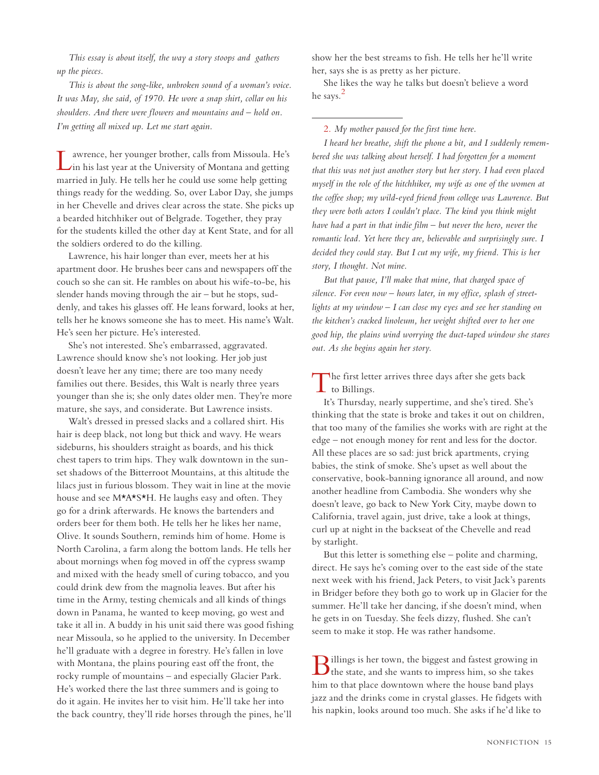*This essay is about itself, the way a story stoops and gathers up the pieces.* 

*This is about the song-like, unbroken sound of a woman's voice. It was May, she said, of 1970. He wore a snap shirt, collar on his shoulders. And there were flowers and mountains and – hold on. I'm getting all mixed up. Let me start again.* 

Lawrence, her younger brother, calls from Missoula. He's in his last year at the University of Montana and getting married in July. He tells her he could use some help getting things ready for the wedding. So, over Labor Day, she jumps in her Chevelle and drives clear across the state. She picks up a bearded hitchhiker out of Belgrade. Together, they pray for the students killed the other day at Kent State, and for all the soldiers ordered to do the killing.

Lawrence, his hair longer than ever, meets her at his apartment door. He brushes beer cans and newspapers off the couch so she can sit. He rambles on about his wife-to-be, his slender hands moving through the air – but he stops, suddenly, and takes his glasses off. He leans forward, looks at her, tells her he knows someone she has to meet. His name's Walt. He's seen her picture. He's interested.

She's not interested. She's embarrassed, aggravated. Lawrence should know she's not looking. Her job just doesn't leave her any time; there are too many needy families out there. Besides, this Walt is nearly three years younger than she is; she only dates older men. They're more mature, she says, and considerate. But Lawrence insists.

Walt's dressed in pressed slacks and a collared shirt. His hair is deep black, not long but thick and wavy. He wears sideburns, his shoulders straight as boards, and his thick chest tapers to trim hips. They walk downtown in the sunset shadows of the Bitterroot Mountains, at this altitude the lilacs just in furious blossom. They wait in line at the movie house and see M\*A\*S\*H. He laughs easy and often. They go for a drink afterwards. He knows the bartenders and orders beer for them both. He tells her he likes her name, Olive. It sounds Southern, reminds him of home. Home is North Carolina, a farm along the bottom lands. He tells her about mornings when fog moved in off the cypress swamp and mixed with the heady smell of curing tobacco, and you could drink dew from the magnolia leaves. But after his time in the Army, testing chemicals and all kinds of things down in Panama, he wanted to keep moving, go west and take it all in. A buddy in his unit said there was good fishing near Missoula, so he applied to the university. In December he'll graduate with a degree in forestry. He's fallen in love with Montana, the plains pouring east off the front, the rocky rumple of mountains – and especially Glacier Park. He's worked there the last three summers and is going to do it again. He invites her to visit him. He'll take her into the back country, they'll ride horses through the pines, he'll

show her the best streams to fish. He tells her he'll write her, says she is as pretty as her picture.

She likes the way he talks but doesn't believe a word he says*.* 2

2. *My mother paused for the first time here.* 

*I heard her breathe, shift the phone a bit, and I suddenly remembered she was talking about herself. I had forgotten for a moment that this was not just another story but her story. I had even placed myself in the role of the hitchhiker, my wife as one of the women at the coffee shop; my wild-eyed friend from college was Lawrence. But they were both actors I couldn't place. The kind you think might have had a part in that indie film – but never the hero, never the romantic lead. Yet here they are, believable and surprisingly sure. I decided they could stay. But I cut my wife, my friend. This is her story, I thought. Not mine.* 

*But that pause, I'll make that mine, that charged space of silence. For even now – hours later, in my office, splash of streetlights at my window – I can close my eyes and see her standing on the kitchen's cracked linoleum, her weight shifted over to her one good hip, the plains wind worrying the duct-taped window she stares out. As she begins again her story.*

The first letter arrives three days after she gets back to Billings.

It's Thursday, nearly suppertime, and she's tired. She's thinking that the state is broke and takes it out on children, that too many of the families she works with are right at the edge – not enough money for rent and less for the doctor. All these places are so sad: just brick apartments, crying babies, the stink of smoke. She's upset as well about the conservative, book-banning ignorance all around, and now another headline from Cambodia. She wonders why she doesn't leave, go back to New York City, maybe down to California, travel again, just drive, take a look at things, curl up at night in the backseat of the Chevelle and read by starlight.

But this letter is something else – polite and charming, direct. He says he's coming over to the east side of the state next week with his friend, Jack Peters, to visit Jack's parents in Bridger before they both go to work up in Glacier for the summer. He'll take her dancing, if she doesn't mind, when he gets in on Tuesday. She feels dizzy, flushed. She can't seem to make it stop. He was rather handsome.

 $\mathbf{B}$ illings is her town, the biggest and fastest growing in the state, and she wants to impress him, so she takes him to that place downtown where the house band plays jazz and the drinks come in crystal glasses. He fidgets with his napkin, looks around too much. She asks if he'd like to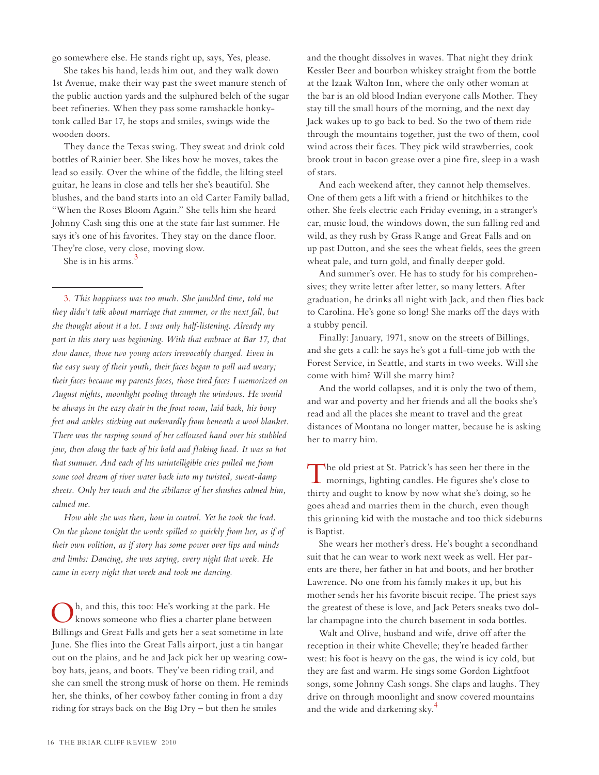go somewhere else. He stands right up, says, Yes, please.

She takes his hand, leads him out, and they walk down 1st Avenue, make their way past the sweet manure stench of the public auction yards and the sulphured belch of the sugar beet refineries. When they pass some ramshackle honkytonk called Bar 17, he stops and smiles, swings wide the wooden doors.

They dance the Texas swing. They sweat and drink cold bottles of Rainier beer. She likes how he moves, takes the lead so easily. Over the whine of the fiddle, the lilting steel guitar, he leans in close and tells her she's beautiful. She blushes, and the band starts into an old Carter Family ballad, "When the Roses Bloom Again." She tells him she heard Johnny Cash sing this one at the state fair last summer. He says it's one of his favorites. They stay on the dance floor. They're close, very close, moving slow.

She is in his arms. $3$ 

3. *This happiness was too much. She jumbled time, told me they didn't talk about marriage that summer, or the next fall, but she thought about it a lot. I was only half-listening. Already my part in this story was beginning. With that embrace at Bar 17, that slow dance, those two young actors irrevocably changed. Even in the easy sway of their youth, their faces began to pall and weary; their faces became my parents faces, those tired faces I memorized on August nights, moonlight pooling through the windows. He would be always in the easy chair in the front room, laid back, his bony feet and ankles sticking out awkwardly from beneath a wool blanket. There was the rasping sound of her calloused hand over his stubbled jaw, then along the back of his bald and flaking head. It was so hot that summer. And each of his unintelligible cries pulled me from some cool dream of river water back into my twisted, sweat-damp sheets. Only her touch and the sibilance of her shushes calmed him, calmed me.* 

*How able she was then, how in control. Yet he took the lead. On the phone tonight the words spilled so quickly from her, as if of their own volition, as if story has some power over lips and minds and limbs: Dancing, she was saying, every night that week. He came in every night that week and took me dancing.* 

 $\bigodot$ h, and this, this too: He's working at the park. He knows someone who flies a charter plane between Billings and Great Falls and gets her a seat sometime in late June. She flies into the Great Falls airport, just a tin hangar out on the plains, and he and Jack pick her up wearing cowboy hats, jeans, and boots. They've been riding trail, and she can smell the strong musk of horse on them. He reminds her, she thinks, of her cowboy father coming in from a day riding for strays back on the Big Dry – but then he smiles

and the thought dissolves in waves. That night they drink Kessler Beer and bourbon whiskey straight from the bottle at the Izaak Walton Inn, where the only other woman at the bar is an old blood Indian everyone calls Mother. They stay till the small hours of the morning, and the next day Jack wakes up to go back to bed. So the two of them ride through the mountains together, just the two of them, cool wind across their faces. They pick wild strawberries, cook brook trout in bacon grease over a pine fire, sleep in a wash of stars.

And each weekend after, they cannot help themselves. One of them gets a lift with a friend or hitchhikes to the other. She feels electric each Friday evening, in a stranger's car, music loud, the windows down, the sun falling red and wild, as they rush by Grass Range and Great Falls and on up past Dutton, and she sees the wheat fields, sees the green wheat pale, and turn gold, and finally deeper gold.

And summer's over. He has to study for his comprehensives; they write letter after letter, so many letters. After graduation, he drinks all night with Jack, and then flies back to Carolina. He's gone so long! She marks off the days with a stubby pencil.

Finally: January, 1971, snow on the streets of Billings, and she gets a call: he says he's got a full-time job with the Forest Service, in Seattle, and starts in two weeks. Will she come with him? Will she marry him?

And the world collapses, and it is only the two of them, and war and poverty and her friends and all the books she's read and all the places she meant to travel and the great distances of Montana no longer matter, because he is asking her to marry him.

The old priest at St. Patrick's has seen her there in the mornings, lighting candles. He figures she's close to thirty and ought to know by now what she's doing, so he goes ahead and marries them in the church, even though this grinning kid with the mustache and too thick sideburns is Baptist.

She wears her mother's dress. He's bought a secondhand suit that he can wear to work next week as well. Her parents are there, her father in hat and boots, and her brother Lawrence. No one from his family makes it up, but his mother sends her his favorite biscuit recipe. The priest says the greatest of these is love, and Jack Peters sneaks two dollar champagne into the church basement in soda bottles.

Walt and Olive, husband and wife, drive off after the reception in their white Chevelle; they're headed farther west: his foot is heavy on the gas, the wind is icy cold, but they are fast and warm. He sings some Gordon Lightfoot songs, some Johnny Cash songs. She claps and laughs. They drive on through moonlight and snow covered mountains and the wide and darkening sky.<sup>4</sup>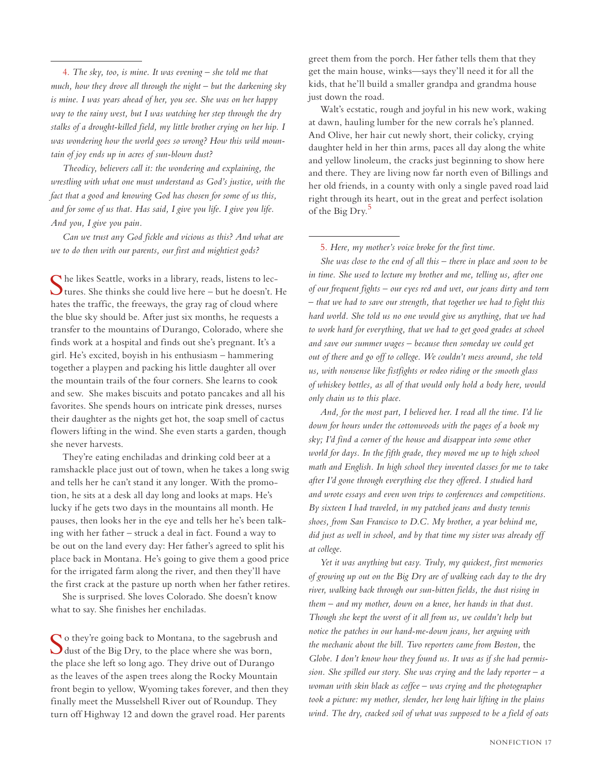4. *The sky, too, is mine. It was evening – she told me that much, how they drove all through the night – but the darkening sky is mine. I was years ahead of her, you see. She was on her happy way to the rainy west, but I was watching her step through the dry stalks of a drought-killed field, my little brother crying on her hip. I was wondering how the world goes so wrong? How this wild mountain of joy ends up in acres of sun-blown dust?*

*Theodicy, believers call it: the wondering and explaining, the wrestling with what one must understand as God's justice, with the fact that a good and knowing God has chosen for some of us this, and for some of us that. Has said, I give you life. I give you life. And you, I give you pain.* 

*Can we trust any God fickle and vicious as this? And what are we to do then with our parents, our first and mightiest gods?*

 $\bigcap$  he likes Seattle, works in a library, reads, listens to lec- $\sum$  tures. She thinks she could live here – but he doesn't. He hates the traffic, the freeways, the gray rag of cloud where the blue sky should be. After just six months, he requests a transfer to the mountains of Durango, Colorado, where she finds work at a hospital and finds out she's pregnant. It's a girl. He's excited, boyish in his enthusiasm – hammering together a playpen and packing his little daughter all over the mountain trails of the four corners. She learns to cook and sew. She makes biscuits and potato pancakes and all his favorites. She spends hours on intricate pink dresses, nurses their daughter as the nights get hot, the soap smell of cactus flowers lifting in the wind. She even starts a garden, though she never harvests.

They're eating enchiladas and drinking cold beer at a ramshackle place just out of town, when he takes a long swig and tells her he can't stand it any longer. With the promotion, he sits at a desk all day long and looks at maps. He's lucky if he gets two days in the mountains all month. He pauses, then looks her in the eye and tells her he's been talking with her father – struck a deal in fact. Found a way to be out on the land every day: Her father's agreed to split his place back in Montana. He's going to give them a good price for the irrigated farm along the river, and then they'll have the first crack at the pasture up north when her father retires.

She is surprised. She loves Colorado. She doesn't know what to say. She finishes her enchiladas.

 $\bigcap$  o they're going back to Montana, to the sagebrush and dust of the Big Dry, to the place where she was born, the place she left so long ago. They drive out of Durango as the leaves of the aspen trees along the Rocky Mountain front begin to yellow, Wyoming takes forever, and then they finally meet the Musselshell River out of Roundup. They turn off Highway 12 and down the gravel road. Her parents

greet them from the porch. Her father tells them that they get the main house, winks—says they'll need it for all the kids, that he'll build a smaller grandpa and grandma house just down the road.

Walt's ecstatic, rough and joyful in his new work, waking at dawn, hauling lumber for the new corrals he's planned. And Olive, her hair cut newly short, their colicky, crying daughter held in her thin arms, paces all day along the white and yellow linoleum, the cracks just beginning to show here and there. They are living now far north even of Billings and her old friends, in a county with only a single paved road laid right through its heart, out in the great and perfect isolation of the Big Dry*.* 5

## 5. *Here, my mother's voice broke for the first time.*

*She was close to the end of all this – there in place and soon to be in time. She used to lecture my brother and me, telling us, after one of our frequent fights – our eyes red and wet, our jeans dirty and torn – that we had to save our strength, that together we had to fight this hard world. She told us no one would give us anything, that we had to work hard for everything, that we had to get good grades at school and save our summer wages – because then someday we could get out of there and go off to college. We couldn't mess around, she told us, with nonsense like fistfights or rodeo riding or the smooth glass of whiskey bottles, as all of that would only hold a body here, would only chain us to this place.* 

*And, for the most part, I believed her. I read all the time. I'd lie down for hours under the cottonwoods with the pages of a book my sky; I'd find a corner of the house and disappear into some other world for days. In the fifth grade, they moved me up to high school math and English. In high school they invented classes for me to take after I'd gone through everything else they offered. I studied hard and wrote essays and even won trips to conferences and competitions. By sixteen I had traveled, in my patched jeans and dusty tennis shoes, from San Francisco to D.C. My brother, a year behind me, did just as well in school, and by that time my sister was already off at college.*

*Yet it was anything but easy. Truly, my quickest, first memories of growing up out on the Big Dry are of walking each day to the dry river, walking back through our sun-bitten fields, the dust rising in them – and my mother, down on a knee, her hands in that dust. Though she kept the worst of it all from us, we couldn't help but notice the patches in our hand-me-down jeans, her arguing with the mechanic about the bill. Two reporters came from Boston,* the *Globe. I don't know how they found us. It was as if she had permission. She spilled our story. She was crying and the lady reporter – a woman with skin black as coffee – was crying and the photographer took a picture: my mother, slender, her long hair lifting in the plains wind. The dry, cracked soil of what was supposed to be a field of oats*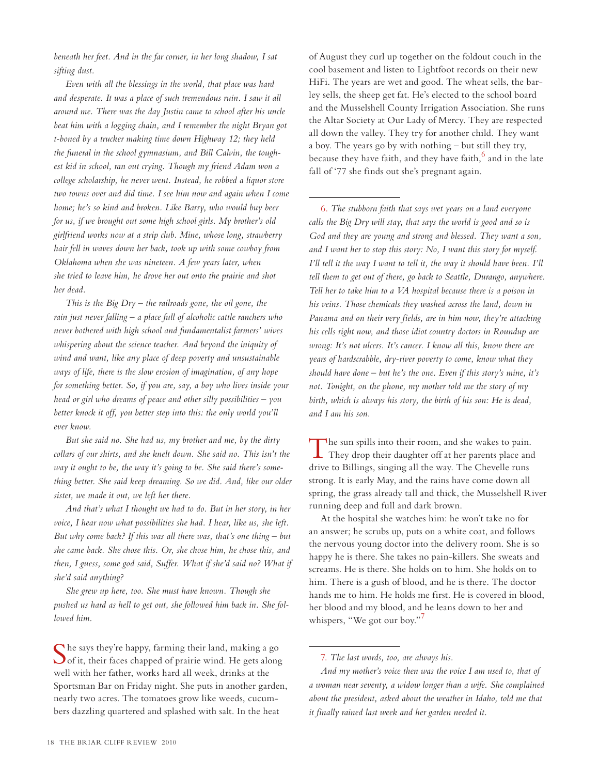*beneath her feet. And in the far corner, in her long shadow, I sat sifting dust.*

*Even with all the blessings in the world, that place was hard and desperate. It was a place of such tremendous ruin. I saw it all around me. There was the day Justin came to school after his uncle beat him with a logging chain, and I remember the night Bryan got t-boned by a trucker making time down Highway 12; they held the funeral in the school gymnasium, and Bill Calvin, the toughest kid in school, ran out crying. Though my friend Adam won a college scholarship, he never went. Instead, he robbed a liquor store two towns over and did time. I see him now and again when I come home; he's so kind and broken. Like Barry, who would buy beer for us, if we brought out some high school girls. My brother's old girlfriend works now at a strip club. Mine, whose long, strawberry hair fell in waves down her back, took up with some cowboy from Oklahoma when she was nineteen. A few years later, when she tried to leave him, he drove her out onto the prairie and shot her dead.* 

*This is the Big Dry – the railroads gone, the oil gone, the rain just never falling – a place full of alcoholic cattle ranchers who never bothered with high school and fundamentalist farmers' wives whispering about the science teacher. And beyond the iniquity of wind and want, like any place of deep poverty and unsustainable ways of life, there is the slow erosion of imagination, of any hope for something better. So, if you are, say, a boy who lives inside your head or girl who dreams of peace and other silly possibilities – you better knock it off, you better step into this: the only world you'll ever know.* 

*But she said no. She had us, my brother and me, by the dirty collars of our shirts, and she knelt down. She said no. This isn't the way it ought to be, the way it's going to be. She said there's something better. She said keep dreaming. So we did. And, like our older sister, we made it out, we left her there.* 

*And that's what I thought we had to do. But in her story, in her voice, I hear now what possibilities she had. I hear, like us, she left. But why come back? If this was all there was, that's one thing – but she came back. She chose this. Or, she chose him, he chose this, and then, I guess, some god said, Suffer. What if she'd said no? What if she'd said anything?* 

*She grew up here, too. She must have known. Though she pushed us hard as hell to get out, she followed him back in. She followed him.*

She says they're happy, farming their land, making a go of it, their faces chapped of prairie wind. He gets along well with her father, works hard all week, drinks at the Sportsman Bar on Friday night. She puts in another garden, nearly two acres. The tomatoes grow like weeds, cucumbers dazzling quartered and splashed with salt. In the heat

of August they curl up together on the foldout couch in the cool basement and listen to Lightfoot records on their new HiFi. The years are wet and good. The wheat sells, the barley sells, the sheep get fat. He's elected to the school board and the Musselshell County Irrigation Association. She runs the Altar Society at Our Lady of Mercy. They are respected all down the valley. They try for another child. They want a boy. The years go by with nothing – but still they try, because they have faith, and they have faith, $6$  and in the late fall of '77 she finds out she's pregnant again.

6. *The stubborn faith that says wet years on a land everyone calls the Big Dry will stay, that says the world is good and so is God and they are young and strong and blessed. They want a son, and I want her to stop this story: No, I want this story for myself. I'll tell it the way I want to tell it, the way it should have been. I'll tell them to get out of there, go back to Seattle, Durango, anywhere. Tell her to take him to a VA hospital because there is a poison in his veins. Those chemicals they washed across the land, down in Panama and on their very fields, are in him now, they're attacking his cells right now, and those idiot country doctors in Roundup are wrong: It's not ulcers. It's cancer. I know all this, know there are years of hardscrabble, dry-river poverty to come, know what they should have done – but he's the one. Even if this story's mine, it's not. Tonight, on the phone, my mother told me the story of my birth, which is always his story, the birth of his son: He is dead, and I am his son.*

The sun spills into their room, and she wakes to pain. They drop their daughter off at her parents place and drive to Billings, singing all the way. The Chevelle runs strong. It is early May, and the rains have come down all spring, the grass already tall and thick, the Musselshell River running deep and full and dark brown.

At the hospital she watches him: he won't take no for an answer; he scrubs up, puts on a white coat, and follows the nervous young doctor into the delivery room. She is so happy he is there. She takes no pain-killers. She sweats and screams. He is there. She holds on to him. She holds on to him. There is a gush of blood, and he is there. The doctor hands me to him. He holds me first. He is covered in blood, her blood and my blood, and he leans down to her and whispers, "We got our boy."

*And my mother's voice then was the voice I am used to, that of a woman near seventy, a widow longer than a wife. She complained about the president, asked about the weather in Idaho, told me that it finally rained last week and her garden needed it.* 

<sup>7.</sup> *The last words, too, are always his.*